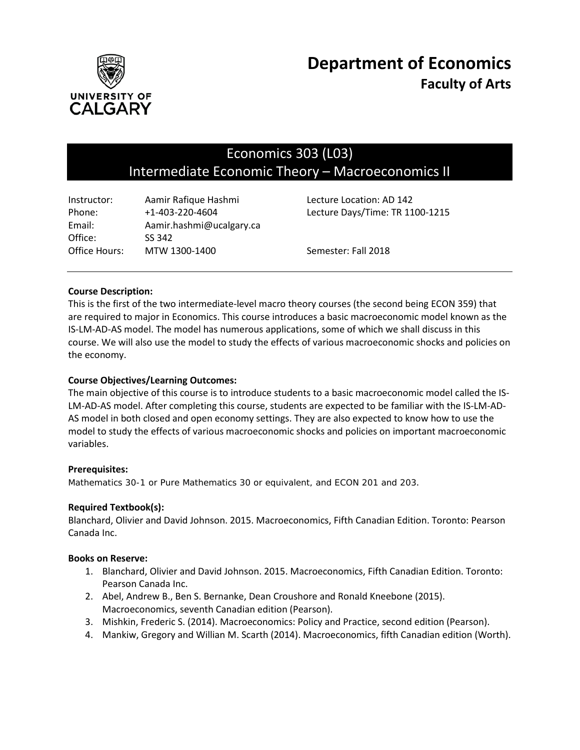

# Economics 303 (L03) Intermediate Economic Theory – Macroeconomics II

| Instructor:   | Aamir Rafique Hashmi     | Lecture Location: AD 142        |
|---------------|--------------------------|---------------------------------|
| Phone:        | $+1 - 403 - 220 - 4604$  | Lecture Days/Time: TR 1100-1215 |
| Email:        | Aamir.hashmi@ucalgary.ca |                                 |
| Office:       | SS 342                   |                                 |
| Office Hours: | MTW 1300-1400            | Semester: Fall 2018             |

## **Course Description:**

This is the first of the two intermediate-level macro theory courses (the second being ECON 359) that are required to major in Economics. This course introduces a basic macroeconomic model known as the IS-LM-AD-AS model. The model has numerous applications, some of which we shall discuss in this course. We will also use the model to study the effects of various macroeconomic shocks and policies on the economy.

## **Course Objectives/Learning Outcomes:**

The main objective of this course is to introduce students to a basic macroeconomic model called the IS-LM-AD-AS model. After completing this course, students are expected to be familiar with the IS-LM-AD-AS model in both closed and open economy settings. They are also expected to know how to use the model to study the effects of various macroeconomic shocks and policies on important macroeconomic variables.

#### **Prerequisites:**

*Mathematics 30-1 or Pure Mathematics 30 or equivalent, and ECON 201 and 203*.

#### **Required Textbook(s):**

Blanchard, Olivier and David Johnson. 2015. Macroeconomics, Fifth Canadian Edition. Toronto: Pearson Canada Inc.

#### **Books on Reserve:**

- 1. Blanchard, Olivier and David Johnson. 2015. Macroeconomics, Fifth Canadian Edition. Toronto: Pearson Canada Inc.
- 2. Abel, Andrew B., Ben S. Bernanke, Dean Croushore and Ronald Kneebone (2015). Macroeconomics, seventh Canadian edition (Pearson).
- 3. Mishkin, Frederic S. (2014). Macroeconomics: Policy and Practice, second edition (Pearson).
- 4. Mankiw, Gregory and Willian M. Scarth (2014). Macroeconomics, fifth Canadian edition (Worth).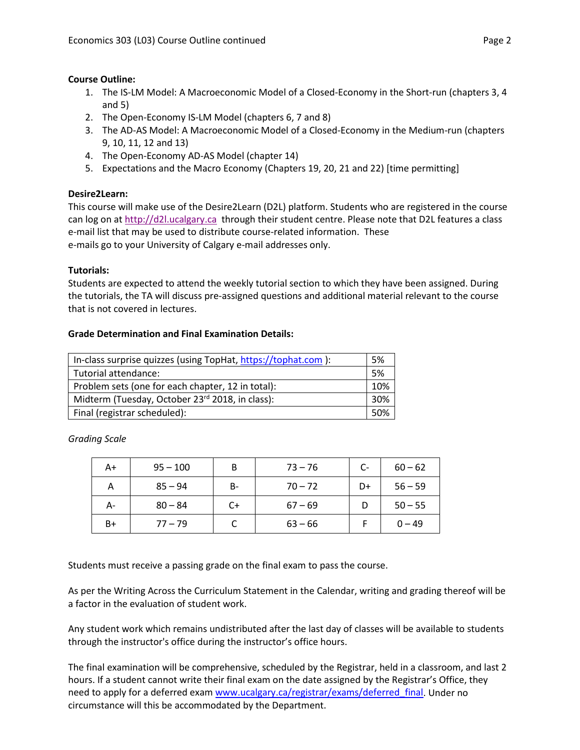## **Course Outline:**

- 1. The IS-LM Model: A Macroeconomic Model of a Closed-Economy in the Short-run (chapters 3, 4 and 5)
- 2. The Open-Economy IS-LM Model (chapters 6, 7 and 8)
- 3. The AD-AS Model: A Macroeconomic Model of a Closed-Economy in the Medium-run (chapters 9, 10, 11, 12 and 13)
- 4. The Open-Economy AD-AS Model (chapter 14)
- 5. Expectations and the Macro Economy (Chapters 19, 20, 21 and 22) [time permitting]

# **Desire2Learn:**

This course will make use of the Desire2Learn (D2L) platform. Students who are registered in the course can log on a[t http://d2l.ucalgary.ca](http://d2l.ucalgary.ca/) through their student centre. Please note that D2L features a class e-mail list that may be used to distribute course-related information. These e-mails go to your University of Calgary e-mail addresses only.

#### **Tutorials:**

Students are expected to attend the weekly tutorial section to which they have been assigned. During the tutorials, the TA will discuss pre-assigned questions and additional material relevant to the course that is not covered in lectures.

## **Grade Determination and Final Examination Details:**

| In-class surprise quizzes (using TopHat, https://tophat.com ): | .5% |  |
|----------------------------------------------------------------|-----|--|
| Tutorial attendance:                                           | .5% |  |
| Problem sets (one for each chapter, 12 in total):              |     |  |
| Midterm (Tuesday, October 23rd 2018, in class):                |     |  |
| Final (registrar scheduled):                                   |     |  |

*Grading Scale*

| A+   | $95 - 100$ | B  | $73 - 76$ | $C-$ | $60 - 62$ |
|------|------------|----|-----------|------|-----------|
| А    | $85 - 94$  | B- | $70 - 72$ | D+   | $56 - 59$ |
| А-   | $80 - 84$  | C+ | $67 - 69$ |      | $50 - 55$ |
| $B+$ | $77 - 79$  |    | $63 - 66$ |      | $0 - 49$  |

Students must receive a passing grade on the final exam to pass the course.

As per the Writing Across the Curriculum Statement in the Calendar, writing and grading thereof will be a factor in the evaluation of student work.

Any student work which remains undistributed after the last day of classes will be available to students through the instructor's office during the instructor's office hours.

The final examination will be comprehensive, scheduled by the Registrar, held in a classroom, and last 2 hours. If a student cannot write their final exam on the date assigned by the Registrar's Office, they need to apply for a deferred exam [www.ucalgary.ca/registrar/exams/deferred\\_final.](http://www.ucalgary.ca/registrar/exams/deferred_final) Under no circumstance will this be accommodated by the Department.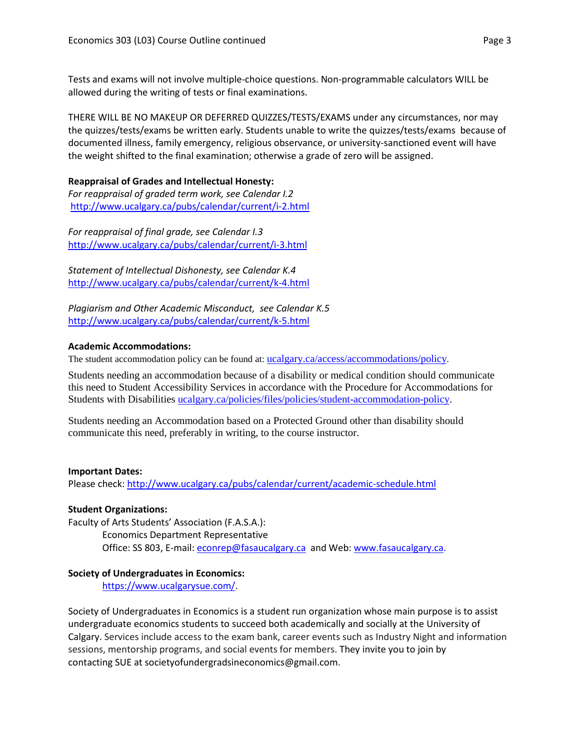Tests and exams will not involve multiple-choice questions. Non-programmable calculators WILL be allowed during the writing of tests or final examinations.

THERE WILL BE NO MAKEUP OR DEFERRED QUIZZES/TESTS/EXAMS under any circumstances, nor may the quizzes/tests/exams be written early. Students unable to write the quizzes/tests/exams because of documented illness, family emergency, religious observance, or university-sanctioned event will have the weight shifted to the final examination; otherwise a grade of zero will be assigned.

## **Reappraisal of Grades and Intellectual Honesty:**

*For reappraisal of graded term work, see Calendar I.2* <http://www.ucalgary.ca/pubs/calendar/current/i-2.html>

*For reappraisal of final grade, see Calendar I.3* <http://www.ucalgary.ca/pubs/calendar/current/i-3.html>

*Statement of Intellectual Dishonesty, see Calendar K.4* <http://www.ucalgary.ca/pubs/calendar/current/k-4.html>

*Plagiarism and Other Academic Misconduct, see Calendar K.5* <http://www.ucalgary.ca/pubs/calendar/current/k-5.html>

## **Academic Accommodations:**

The student accommodation policy can be found at: [ucalgary.ca/access/accommodations/policy.](http://www.ucalgary.ca/access/accommodations/policy)

Students needing an accommodation because of a disability or medical condition should communicate this need to Student Accessibility Services in accordance with the Procedure for Accommodations for Students with Disabilities [ucalgary.ca/policies/files/policies/student-accommodation-policy.](http://www.ucalgary.ca/policies/files/policies/student-accommodation-policy.pdf)

Students needing an Accommodation based on a Protected Ground other than disability should communicate this need, preferably in writing, to the course instructor.

#### **Important Dates:**

Please check:<http://www.ucalgary.ca/pubs/calendar/current/academic-schedule.html>

# **Student Organizations:**

Faculty of Arts Students' Association (F.A.S.A.): Economics Department Representative Office: SS 803, E-mail: [econrep@fasaucalgary.ca](mailto:econrep@fasaucalgary.ca) and Web[: www.fasaucalgary.ca.](http://www.fasaucalgary.ca/)

# **Society of Undergraduates in Economics:**

[https://www.ucalgarysue.com/.](https://www.ucalgarysue.com/)

Society of Undergraduates in Economics is a student run organization whose main purpose is to assist undergraduate economics students to succeed both academically and socially at the University of Calgary. Services include access to the exam bank, career events such as Industry Night and information sessions, mentorship programs, and social events for members. They invite you to join by contacting SUE at societyofundergradsineconomics@gmail.com.